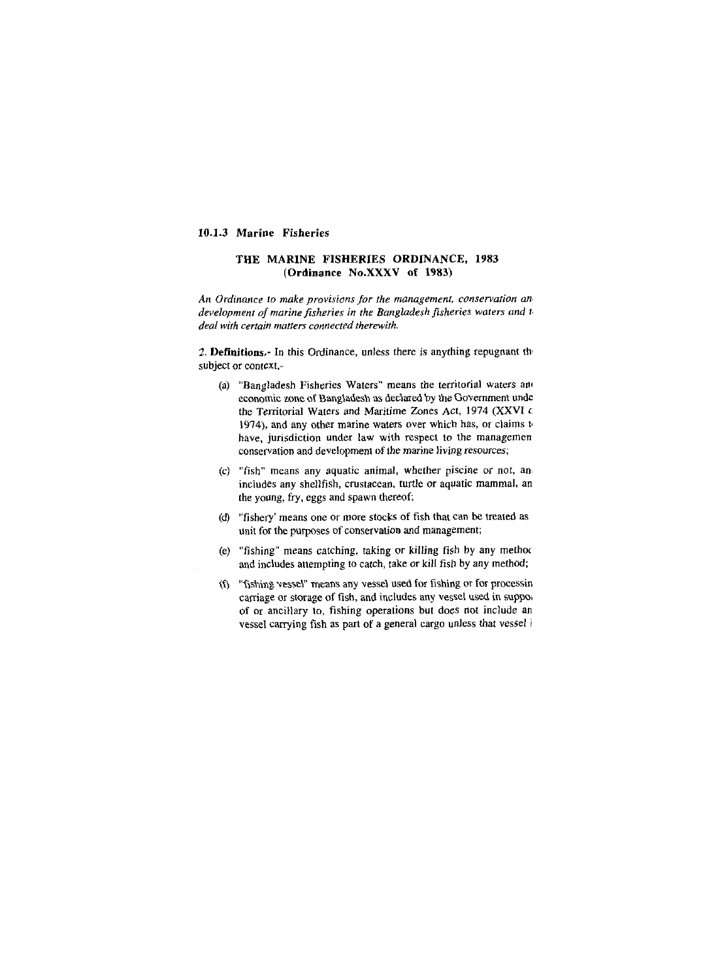## **10.1.3 Marine Fisheries**

## **THE MARINE FISHERIES ORDINANCE, 1983 (Ordinance No.XXXV of 1983)**

An *Ordinance* to *make provisions for the management. conservation an. development of marine fisheries in the Bangladesh fisheries waters and t<sub>i</sub> deal with certain nutters connected therewirh.* 

**2. Definitions,-** In this Ordinance, unless there is anything repugnant th. subject or context,-

- (a) "Bangladesh Fisheries Waters" means the territorial waters and economic zone of Bangladesh as declared by the Government unde the Territorial Waters and Maritime Zones Act, 1974 (XXVI c 1974), and any other marine waters over which has, or claims  $t_0$ have, jurisdiction under law with respect to the managemen conservation and development of the marine living resources;
- *(c)* "fish" means any aquatic animal, whether piscine or nor, an includes any shellfish, crustacean, turtle or aquatic mammal, an the young, fry, eggs and spawn thereof;
- (d) "fishery' means one or more stocks of fish that can be treated as unit for the purposes of conservation and management;
- (e) "fishing" means catching, taking or killing fish by any methoc and includes attempting to catch, take or kill fish by any method;
- (9 "fishing vesseY means any vessel used for fishing or for processin carriage or storage of fish, and includes any vessel used in suppose of or ancillary to, fishing operations but does not include an vessel carrying fish as part of a general cargo unless that vessel i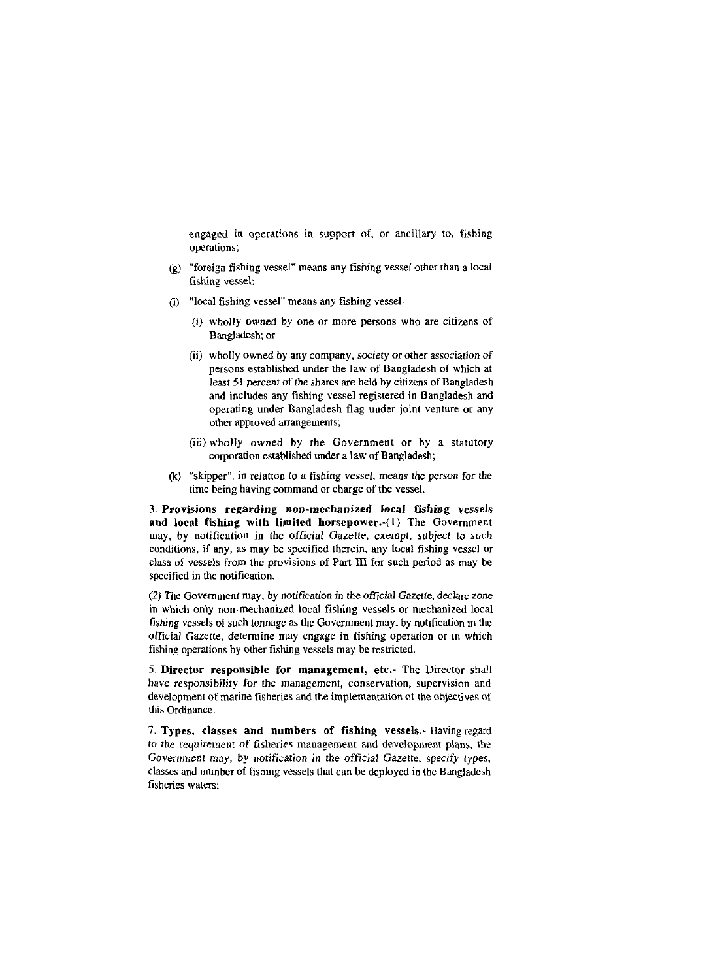engaged in operations in support of, or ancillary to, fishing operations;

- (g) "foreign fishing vessel" means any fishing vessel other than a local fishing vessel;
- (i) "local fishing vessel" means any fishing vessel-
	- (i) wholly owned by one or more persons who are citizens of Bangladesh; or
	- (ii) wholly owned by any company, society or other association of persons established under the law of Bangladesh of which at least 51 percent of the shares are held by citizens of Bangladesh and includes any fishing vessel registered in Bangladesh and operating under Bangladesh flag under joint venture or any other approved arrangements;
	- (iii) wholly owned by the Government or by a statutory corporation established under a law of Bangladesh;
- (k) "skipper", in relation to a fishing vessel, means the person for lhe time being having command or charge of the vessel.

3. Provisions regarding non-mechanized local fishing vessels and local fishing with limited horsepower.-(l) The Government may, by notification in the official Gazette, exempt, subject to such conditions, if any, as may be specified therein, any local fishing vessel or class of vessels from the provisions of Part **111** for such period as may be specified in the notification.

*(2)* The Government may, by notification in the official Gazette, declare zone in which only non-mechanized local fishing vessels or mechanized local fishing vessels of such tonnage as the Government may, by notification in the official Gazette, determine may engage in fishing operation or in which fishing operations by other fishing vessels may be restricted.

**S.** Director responsible for management, etc.- The Director shall have responsibility for the management, conservation, supervision and development of marine fisheries and the implementation of the objectives of this Ordinance.

7. Types, classes and numbers of fishing vessels.- Havingregard to the requirement of fisheries management and development plans, the Government may, by notification in the official Gazette, specify types, classes and number of fishing vessels that can be deployed in the Bangladesh fisheries waters: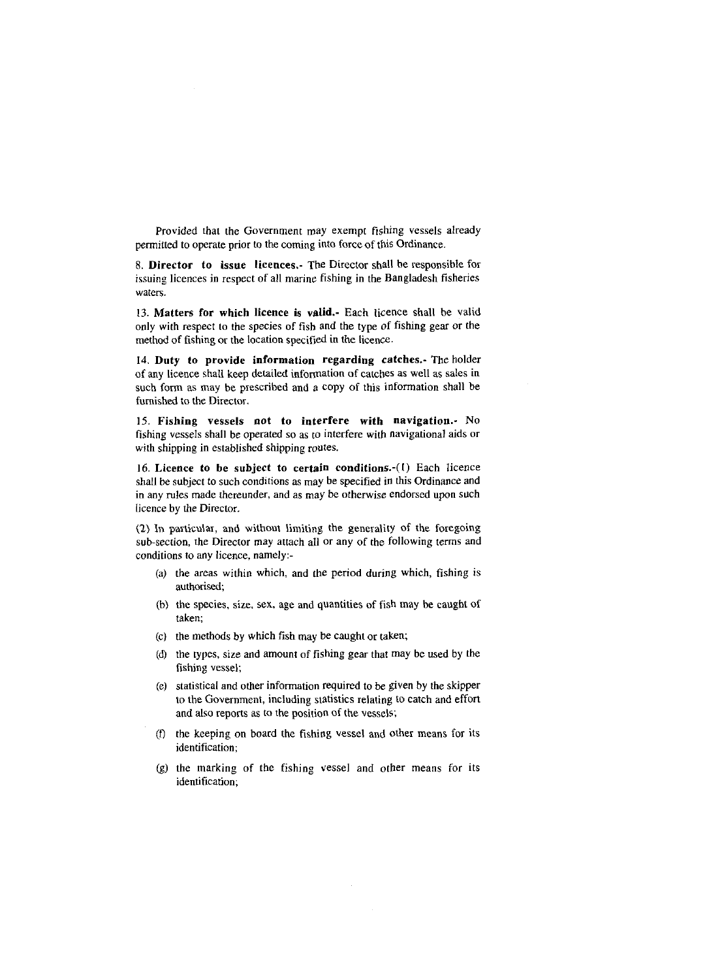Provided that the Government may exempt fishing vessels already permitted to operate prior to the coming into force of this Ordinance.

**8. Director to issue licences.-** The Director shall be responsible for issuing licences in respect of all marine fishing in the Bangladesh fisheries waters.

13. **Matters for which licence is valid.-** Each licence shall be valid only with respect to the species of fish and the type of fishing gear or the method of fishing or the location specified in the licence.

**14. Duty to provide information regarding catches.-** The holder of any licence shall keep detailed information of catches as well as sales in such form as may be prescribed and a copy of this information shall be furnished to the Director.

15. **Fishing vessels not to interfere with navigation..** No fishing vessels shall be operated so as to interfere with navigational aids or with shipping in established shipping routes.

16. **Licence to** be **subject to certain conditions.-(l)** Each licence shall be subject to such conditions as may be specified in this Ordinance and in any rules made thereunder, and as may be otherwise endorsed upon such licence by the Director.

*(2)* In particular, and without limiting the generality of the foregoing sub-section, the Director may attach all or any of the following terms and conditions to any licence, namely:.

- (a) the areas within which, and the period during which, fishing is authorised;
- (b) the species, size, sex, age and quantities of fish may be caught of taken;
- (C) the methods by which fish may be caught or taken;
- (d) the types, size and amount of fishing gear that may be used by the fishing vessel;
- (e) statistical and other information required to be given by the skipper to the Government, including statistics relating to catch and effort and also reports as to the position of the vessels;
- (D the keeping on board the fishing vessel and other means for its identification;
- (g) the marking of the fishing vessel and other means for its identification;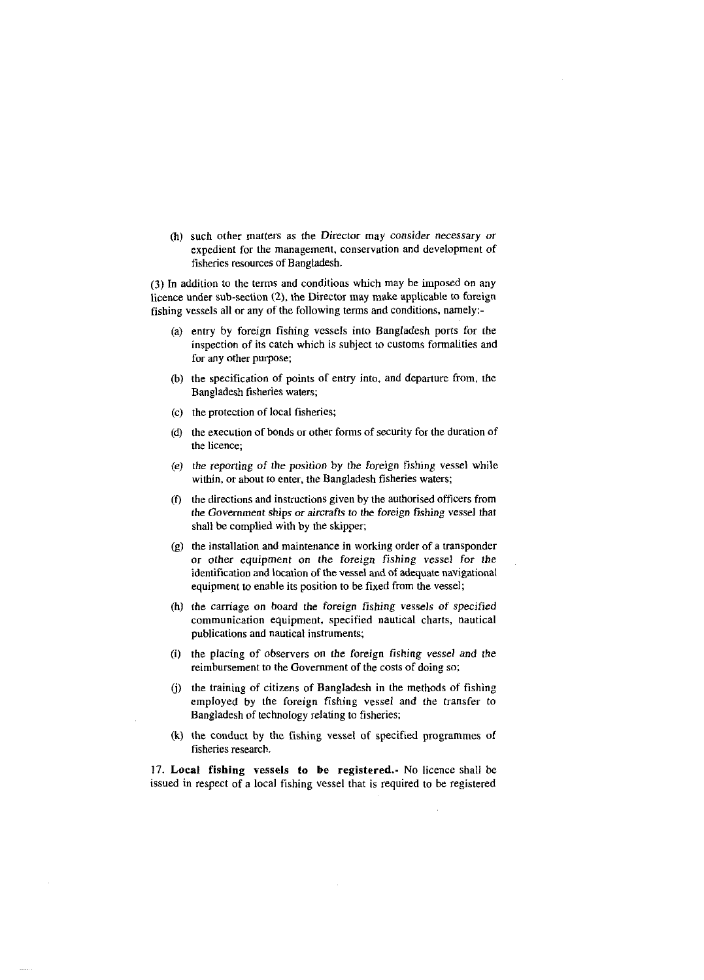(h) such other matters as the Director may consider necessary or expedient for the management, conservation and development of fisheries resources of Bangladesh.

(3) In addition to the terms and conditions which may he imposed on any licence under sub-section (2), the Director may make applicable to foreign fishing vessels all or any of the following terms and conditions, namely:.

- (a) entry by foreign fishing vessels into Bangladesh ports for the inspection of its catch which is subject to customs formalities and for any other purpose;
- @) the specification of points of entry into. and departure from, the Bangladesh fisheries waters;
- (c) the protection of local fisheries;
- **(6)** the execution of bonds or other forms of security for the duration of the licence;
- (e) the reporting of the position by the foreign fishing vessel while within, or about to enter, the Bangladesh fisheries waters;
- (f) the directions and instructions given by the authorised officers from the Government ships or aircrafts to the foreign fishing vessel that shall be complied with by the skipper;
- (g) the installation and maintenance in working order of a transponder or other equipment on the foreign fishing vessel for the identification and location of the vessel and of adequate navigational equipment to enable its position to be fixed from the vessel;
- (h) the carriage on hoard the foreign fishing vessels of specified communication equipment, specified nautical charts, nautical publications and nautical instruments;
- (i) the placing of observers on the foreign fishing vessel and the reimbursement to the Government of the costs of doing so;
- (i) the training of citizens of Bangladesh in the methods of fishing employed by the foreign fishing vessel and the transfer to Bangladesh of technology relating to fisheries;
- (k) the conduct by the fishing vessel of specified programmes of fisheries research.

**17. Local fishing vessels to be registered..** No licence shall be issued in respect of a local fishing vessel that is required to he registered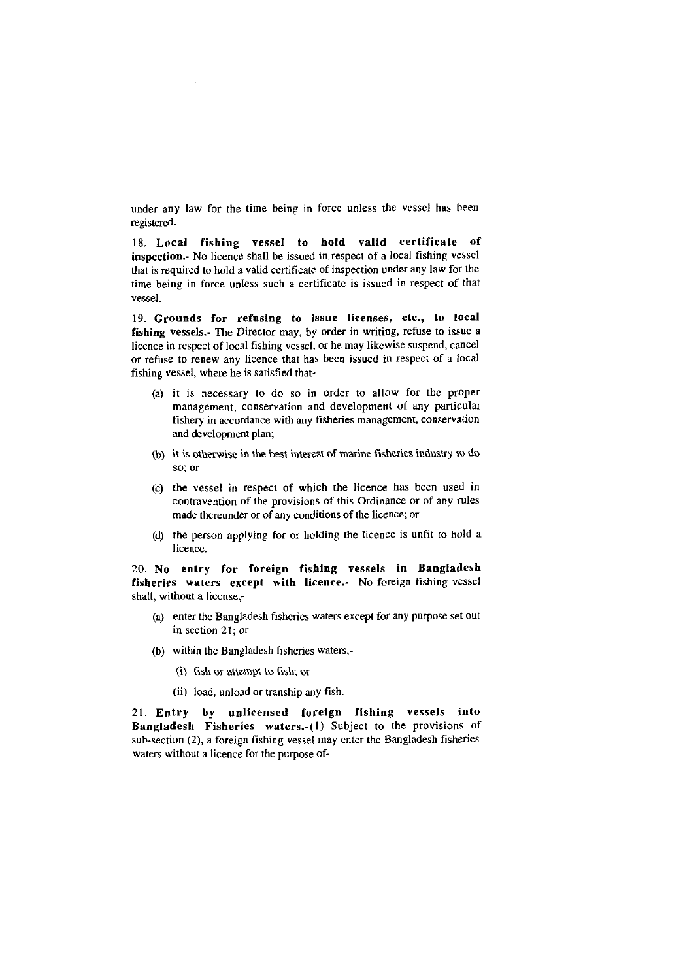under any law for the time being in force unless the vessel has been registered.

18. Local fishing vessel to hold valid certificate of inspection.- No licence shall he issued in respect of a local fishing vessel that is required to hold a valid certificate of inspection under any law for the time being in force unless such a certificate is issued in respect of that vessel.

19. Grounds for refusing to issue licenses, etc., to local fishing vessels.- The Director may, by order in writing, refuse to issue a licence in respect of local fishing vessel, or he may likewise suspend, cancel or refuse to renew any licence that has heen issued in respect of a local fishing vessel, where he is satisfied that-

- (a) it is necessary to do so in order to allow for the proper management, conservation and development of any particular fishery in accordance with any fisheries management, conservation and development plan;
- **(b)** it is otherwise in the best interest of marine fishexies industry to do SO; or
- (c) the vessel in respect of which the licence has heen used in contravention of the provisions of this Ordinance or of any rules made thereunder or of any conditions of the licence; or
- (d) the person applying for or holding the licence is unfit to hold a licence.

20. No entry for foreign fishing vessels in Bangladesh fisheries waters except with licence.- No foreign fishing vessel shall, without a license;

- (a) enter the Bangladesh fisheries waters except for any purpose set out in section 21; or
- (h) within the Bangladesh fisheries waters,-
	- (i) fish or attempt to fish; or
	- (ii) load, unload or tranship any fish.

21. Entry by unlicensed foreign fishing vessels into Bangladesh Fisheries waters.-(l) Subject to the provisions of sub-section **(Z),** a foreign fishing vessel may enter the Bangladesh fisheries waters without a licence for the purpose of-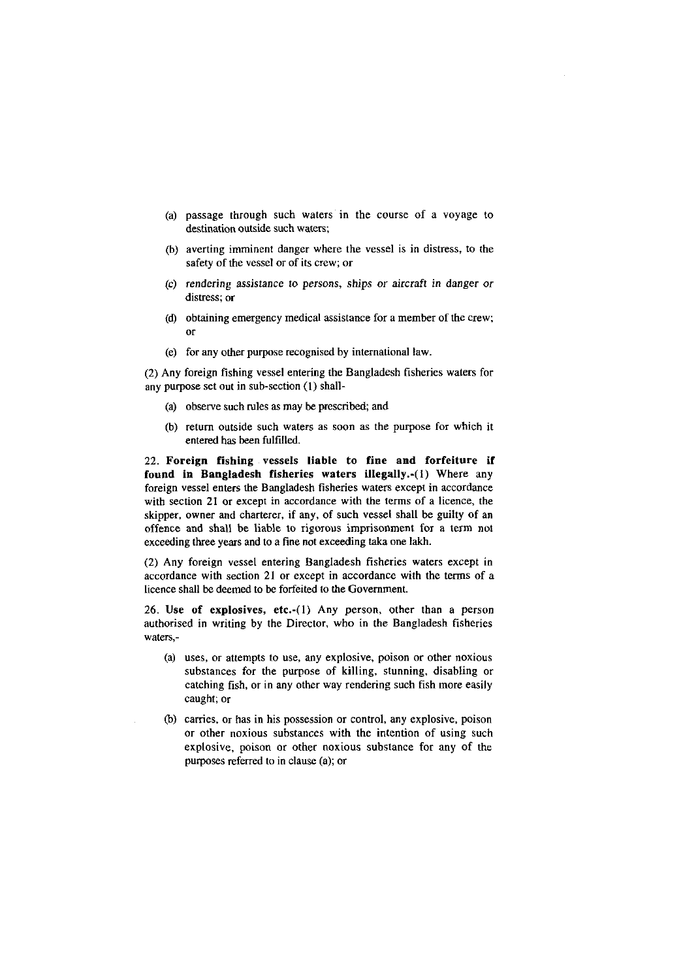- (a) passage through such waters in the course of a voyage to destination outside such waters;
- @) averting imminent danger where the vessel is in distress, to the safety of the vessel or of its crew; or
- (C) rendering assistance to persons, ships or aircraft in danger or distress; or
- (d) obtaining emergency medical assistance for a member of the crew; or
- (e) for any other purpose recognised by international law.

(2) Any foreign fishing vessel entering the Bangladesh fisheries waters for any purpose set out in suh-section (1) shall-

- (a) observe such rules as may be prescribed; and
- (h) return outside such waters as soon as the purpose for which it entered has been fulfilled.

22. Foreign fishing vessels liable to fine and forfeiture if found in Bangladesh fisheries waters illegally.-(l) Where any foreign vessel enters the Bangladesh fisheries waters except in accordance with section 21 or except in accordance with the terms of a licence, the skipper, owner and charterer, if any, of such vessel shall be guilty of an offence and shall be liable to rigorous imprisonment for a term not exceeding three years and to a fine not exceeding **taka** one lakh.

(2) Any foreign vessel entering Bangladesh fisheries waters except in accordance with section 21 or except in accordance with the terms of a licence shall be deemed to be forfeited to the Government.

26. Use of explosives, etc.-(l) Any person, other than a person authorised in writing by the Director, who in the Bangladesh fisheries waters,-

- (a) uses, or attempts to use, any explosive, poison or other noxious substances for the purpose of killing, stunning, disabling or catching fish, or in any other way rendering such fish more easily caught; or
- @) carries, or has in his possession or control, any explosive, poison or other noxious substances with the intention of using such explosive, poison or other noxious substance for any of the purposes referred to in clause (a); or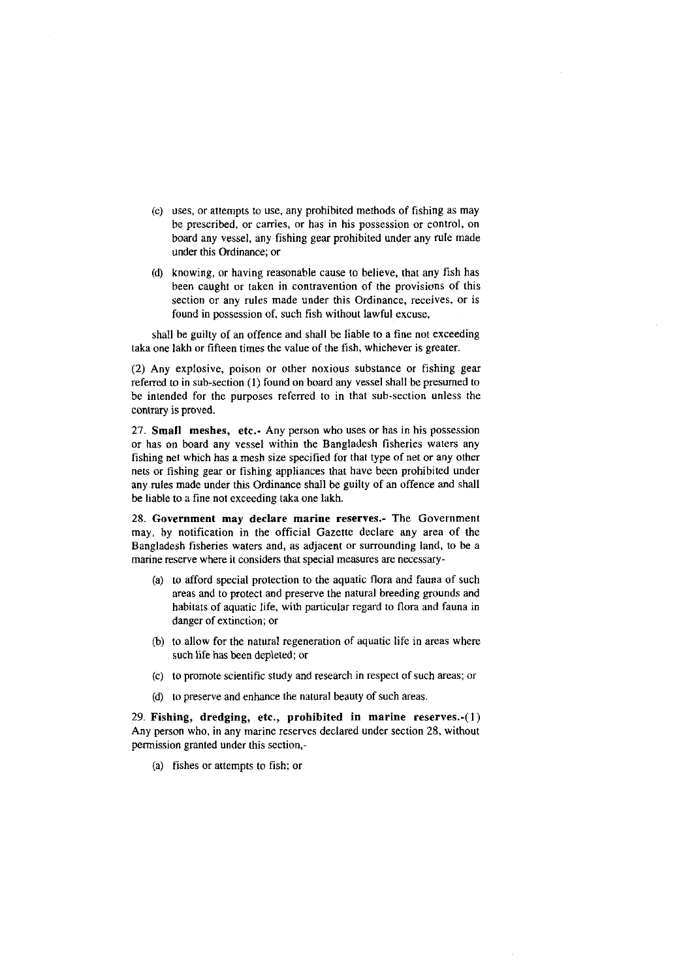- (c) uses, or attempts to use, any prohibited methods of fishing as may be prescribed, or carries, or has in his possession or control, on board any vessel, any fishing gear prohibited under any rule made under this Ordinance; or
- **(d)** knowing, or having reasonable cause to believe, that any fish has been caught or taken in contravention of the provisions of this section or any rules made under this Ordinance, receives, or is found in possession of, such fish without lawful excuse,

shall be guilty of an offence and shall be liable to a fine not exceeding taka one lakh or fifteen times the value of the fish, whichever is greater.

(2) Any explosive, poison or other noxious substance or fishing gear referred to in sub-section (1) found on board any vessel shall be presumed to be intended for the purposes referred to in that sub-section unless the contrary is proved.

27. Small meshes, etc.- Any person who uses or has in his possession or has on board any vessel within the Bangladesh fisheries waters any fishing net which has a mesh size specified for that type of net or any other nets or fishing gear or fishing appliances that have been prohibited under any rules made under this Ordinance shall be guilty of an offence and shall be liable to a fine not exceeding taka one lakh.

28. Government may declare marine reserves.- The Government may, by notification in the official Gazette declare any area of the Bangladesh fisheries waters and, as adjacent or surrounding land, to be a marine reserve where it considers that special measures are necessary-

- (a) to afford special protection to the aquatic flora and fauna of such areas and to protect and preserve the natural breeding grounds and habitats of aquatic life, with particular regard to flora and fauna in danger of extinction; or
- (b) to allow for the natural regeneration of aquatic life in areas where such life has been depleted; or
- (C) to promote scientific study and research in respect of such areas; or
- **(d)** to preserve and enhance the natural beauty of such areas.

29. Fishing, dredging, etc., prohibited in marine reserves.-(l) Any person who, in any marine reserves declared under section 28, without permission granted under this section,-

(a) fishes or attempts to fish; **01**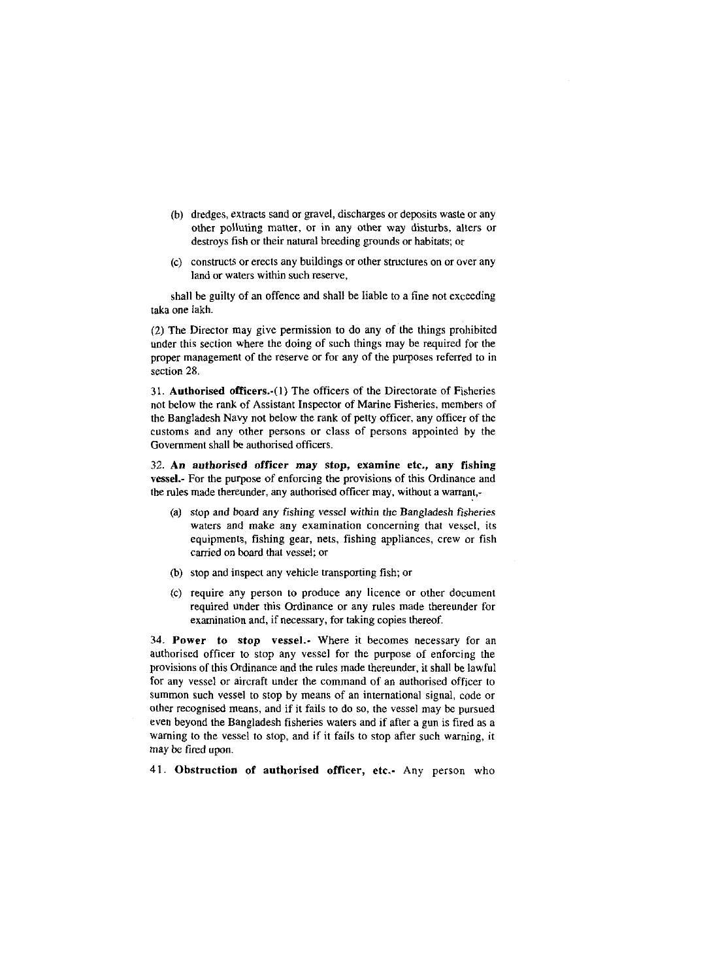- (h) dredges, extracts sand or gravel, discharges or deposits waste or any other polluting matter, or in any other way disturbs, alters or destroys fish or their natural breeding grounds or habitats; or
- (C) constructs or erects any buildings or other structures on or over any land or waters within such reserve,

shall he guilty of an offence and shall be liable to a fine not exceeding taka one lakh.

(2) The Director may give permission to do any of the things prohibited under this section where the doing of such things may be required for the proper management of the reserve or for any of the purposes referred to in section 28.

31. Authorised officers.-(l) The officers of the Directorate of Fisheries not below the rank of Assistant Inspector of Marine Fisheries, members of the Bangladesh Navy not below the rank of petty officer, any officer of the customs and any other persons or class of persons appointed by the Government shall **be** authorised officers.

32. An authorised officer may stop, examine etc., any fishing vessel.- For the purpose of enforcing the provisions of this Ordinance and the rules made thereunder, any authorised officer may, without a warrant,-

- (a) stop and board any fishing vessel within the Bangladesh fisheries waters and make any examination concerning that vessel, its equipments, fishing gear, nets, fishing appliances, crew or fish carried on board that vessel; or
- (b) stop and inspect any vehicle transporting fish; or
- (c) require any person to produce any licence or other document required under this Ordinance or any rules made thereunder for examination and, if necessary, for taking copies thereof.

34. Power to stop vessel.- Where it becomes necessary for an authorised officer to stop any vessel for the purpose of enforcing the provisions of this Ordinance and the rules made thereunder, it shall be lawful for any vessel or aircraft under the command of an authorised officer to summon such vessel to stop by means of an international signal, code or other recognised means, and if it fails to do so, the vessel may be pursued even beyond the Bangladesh fisheries waters and if after a gun is fired as a warning to the vessel to stop, and if it fails to stop after such warning, it may be fired upon.

41. Obstruction of authorised officer, etc.- Any person who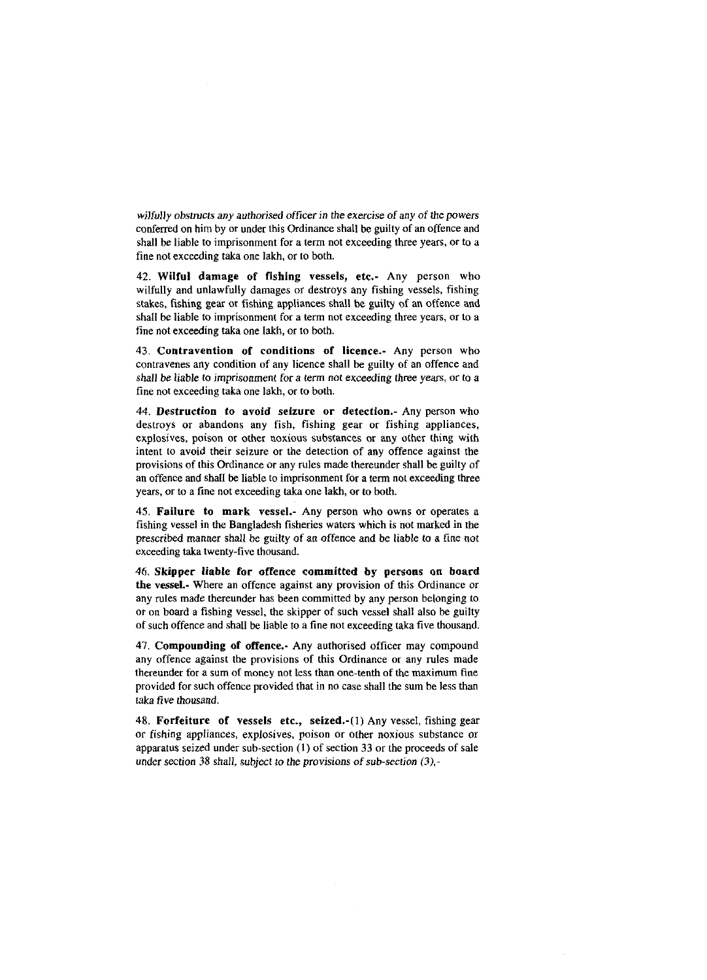wilfully obstructs any authorised officer in the exercise of any of the powers conferred on him by or under this Ordinance shall be guilty of an offence and shall he liable to imprisonment for a term not exceeding three years, or to a fine not exceeding taka one lakh, or to both.

42. Wilful damage of fishing vessels, etc.- Any person who wilfully and unlawfully damages or destroys any fishing vessels, fishing stakes, fishing gear or fishing appliances shall be guilty of an offence and shall be liable to imprisonment for a term not exceeding three years, or to a fine not exceeding taka one lakh, or to both.

43. Contravention of conditions of licence.- Any person who contravenes any condition of any licence shall be guilty of an offence and shall he liable to imprisonment for a term not exceeding three years, or to a fine not exceeding taka one lakh, or to both.

44. Destruction to avoid seizure or detection.- Any person who destroys or abandons any fish, fishing gear or fishing appliances. explosives, poison or other noxious substances or any other thing with intent to avoid their seizure or the detection of any offence against the provisions of this Ordinance or any rules made thereunder shall be guilty of an offence and shall **be** liable to imprisonment for a term not exceeding three years, or to a fine not exceeding taka one lakh, or to both.

45. Failure to mark vessel.- Any person who owns or operates a fishing vessel in the Bangladesh fisheries waters which is not marked in the prescribed manner shall be guilty of an offence and he liable to a fine not exceeding taka twenty-five thousand.

46. Skipper liable for offence committed by persons on board the vessel.- Where an offence against any provision of this Ordinance or any rules made thereunder has been committed by any person belonging to or on board a fishing vessel, the skipper of such vessel shall also he guilty of such offence and shall he liable to a fine not exceeding taka five thousand.

47. Compounding of offence. Any authorised officer may compound any offence against the provisions of this Ordinance or any rules made thereunder for a sum of money not less than one-tenth of the maximum fine provided for such offence provided that in no case shall the sum be less than taka five thousand.

48. Forfeiture of vessels etc., seized.-(l) Any vessel, fishing gear or fishing appliances, explosives, poison or other noxious substance or apparatus seized under sub-section (I) of section 33 or the proceeds of sale under section 38 shall, subject to the provisions of sub-section *(3),-*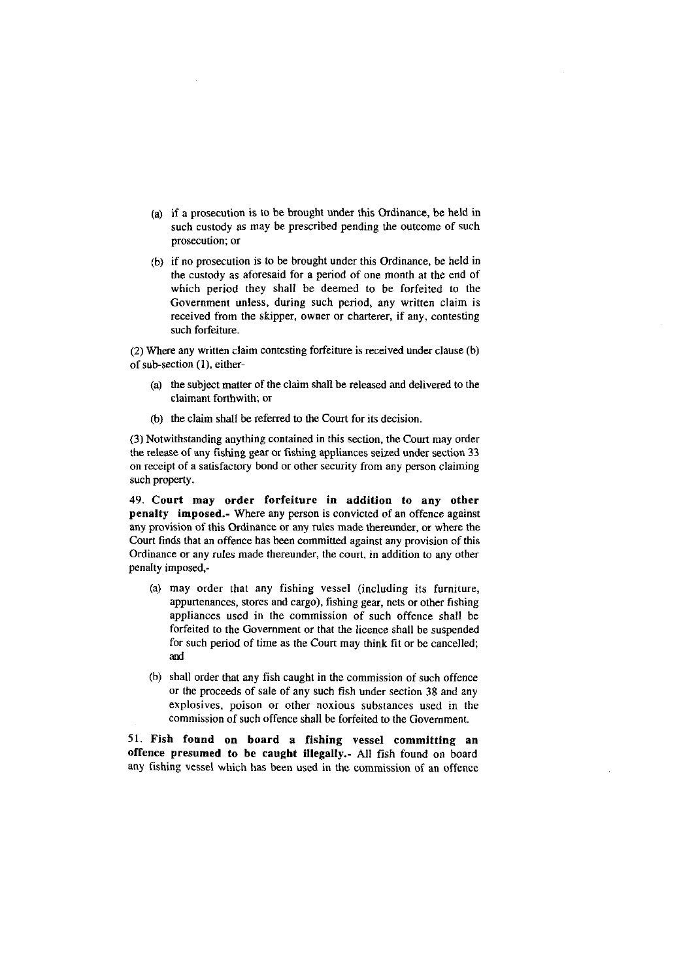- (a) if a prosecution is to he brought under this Ordinance, he held in such custody as may be prescribed pending the outcome of such prosecution; or
- (b) if no prosecution is to be brought under this Ordinance, be held in the custody as aforesaid for a period of one month at the end of which period they shall he deemed to he forfeited to the Government unless, during such period, any written claim is received from the skipper, owner or charterer, if any, contesting such forfeiture.

(2) Where any written claim contesting forfeiture is received under clause (h) of sub-section (l), either-

- (a) the subject matter of the claim shall be released and delivered to the claimant forthwith; or
- (b) the claim shall be referred to the Court for its decision.

(3) Notwithstanding anything contained in this section, the Court may order the release of any fishing gear or fishing appliances seized under section 33 on receipt of a satisfactory bond or other security from any person claiming such property.

49. Court may order forfeiture in addition to any other penalty imposed.- Where any person is convicted of an offence against any provision of this Ordinance or any rules made thereunder, or where the Court finds that an offence has been committed against any provision of this Ordinance or any rules made thereunder, the court, in addition to any other penalty imposed,-

- (a) may order that any fishing vessel (including its furniture, appurtenances, stores and cargo), fishing gear, nets or other fishing appliances used in the commission of such offence shall he forfeited to the Government or that the licence shall he suspended for such period of time as the Court may think fit or be cancelled; and
- (b) shall order that any fish caught in the commission of such offence or the proceeds of sale of any such fish under section 38 and any explosives, poison or other noxious substances used in the commission of such offence shall he forfeited to the Government.

51. Fish found on board a fishing vessel committing an offence presumed to be caught illegally.- All fish found on board any fishing vessel which has been used in the commission of an offence